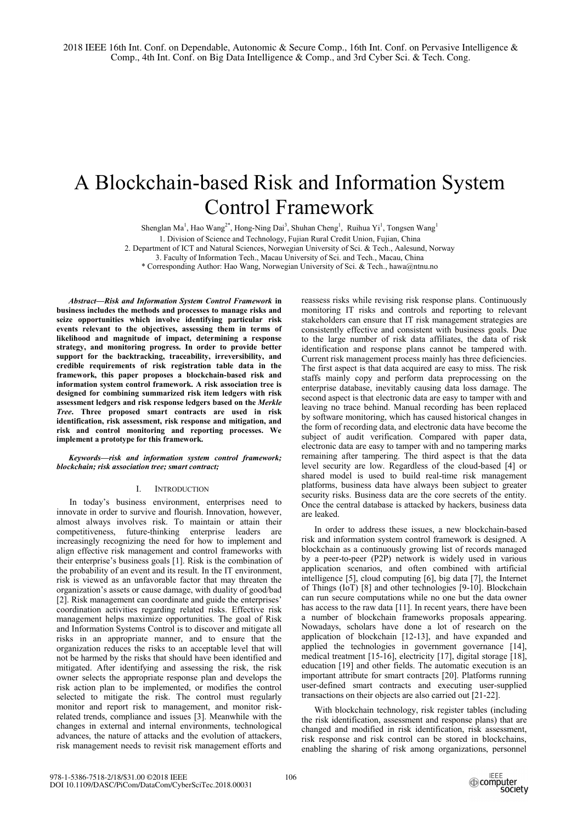# A Blockchain-based Risk and Information System Control Framework

Shenglan Ma<sup>1</sup>, Hao Wang<sup>2\*</sup>, Hong-Ning Dai<sup>3</sup>, Shuhan Cheng<sup>1</sup>, Ruihua Yi<sup>1</sup>, Tongsen Wang<sup>1</sup>

1. Division of Science and Technology, Fujian Rural Credit Union, Fujian, China

2. Department of ICT and Natural Sciences, Norwegian University of Sci. & Tech., Aalesund, Norway

3. Faculty of Information Tech., Macau University of Sci. and Tech., Macau, China

\* Corresponding Author: Hao Wang, Norwegian University of Sci. & Tech., hawa@ntnu.no

*Abstract—Risk and Information System Control Framework* **in business includes the methods and processes to manage risks and seize opportunities which involve identifying particular risk events relevant to the objectives, assessing them in terms of likelihood and magnitude of impact, determining a response strategy, and monitoring progress. In order to provide better support for the backtracking, traceability, irreversibility, and credible requirements of risk registration table data in the framework, this paper proposes a blockchain-based risk and information system control framework. A risk association tree is designed for combining summarized risk item ledgers with risk assessment ledgers and risk response ledgers based on the** *Merkle Tree***. Three proposed smart contracts are used in risk identification, risk assessment, risk response and mitigation, and risk and control monitoring and reporting processes. We implement a prototype for this framework.**

*Keywords—risk and information system control framework; blockchain; risk association tree; smart contract;* 

## I. INTRODUCTION

In today's business environment, enterprises need to innovate in order to survive and flourish. Innovation, however, almost always involves risk. To maintain or attain their competitiveness, future-thinking enterprise leaders are increasingly recognizing the need for how to implement and align effective risk management and control frameworks with their enterprise's business goals [1]. Risk is the combination of the probability of an event and its result. In the IT environment, risk is viewed as an unfavorable factor that may threaten the organization's assets or cause damage, with duality of good/bad [2]. Risk management can coordinate and guide the enterprises' coordination activities regarding related risks. Effective risk management helps maximize opportunities. The goal of Risk and Information Systems Control is to discover and mitigate all risks in an appropriate manner, and to ensure that the organization reduces the risks to an acceptable level that will not be harmed by the risks that should have been identified and mitigated. After identifying and assessing the risk, the risk owner selects the appropriate response plan and develops the risk action plan to be implemented, or modifies the control selected to mitigate the risk. The control must regularly monitor and report risk to management, and monitor riskrelated trends, compliance and issues [3]. Meanwhile with the changes in external and internal environments, technological advances, the nature of attacks and the evolution of attackers, risk management needs to revisit risk management efforts and

reassess risks while revising risk response plans. Continuously monitoring IT risks and controls and reporting to relevant stakeholders can ensure that IT risk management strategies are consistently effective and consistent with business goals. Due to the large number of risk data affiliates, the data of risk identification and response plans cannot be tampered with. Current risk management process mainly has three deficiencies. The first aspect is that data acquired are easy to miss. The risk staffs mainly copy and perform data preprocessing on the enterprise database, inevitably causing data loss damage. The second aspect is that electronic data are easy to tamper with and leaving no trace behind. Manual recording has been replaced by software monitoring, which has caused historical changes in the form of recording data, and electronic data have become the subject of audit verification. Compared with paper data, electronic data are easy to tamper with and no tampering marks remaining after tampering. The third aspect is that the data level security are low. Regardless of the cloud-based [4] or shared model is used to build real-time risk management platforms, business data have always been subject to greater security risks. Business data are the core secrets of the entity. Once the central database is attacked by hackers, business data are leaked.

In order to address these issues, a new blockchain-based risk and information system control framework is designed. A blockchain as a continuously growing list of records managed by a peer-to-peer (P2P) network is widely used in various application scenarios, and often combined with artificial intelligence [5], cloud computing [6], big data [7], the Internet of Things (IoT) [8] and other technologies [9-10]. Blockchain can run secure computations while no one but the data owner has access to the raw data [11]. In recent years, there have been a number of blockchain frameworks proposals appearing. Nowadays, scholars have done a lot of research on the application of blockchain [12-13], and have expanded and applied the technologies in government governance [14], medical treatment [15-16], electricity [17], digital storage [18], education [19] and other fields. The automatic execution is an important attribute for smart contracts [20]. Platforms running user-defined smart contracts and executing user-supplied transactions on their objects are also carried out [21-22].

With blockchain technology, risk register tables (including the risk identification, assessment and response plans) that are changed and modified in risk identification, risk assessment, risk response and risk control can be stored in blockchains, enabling the sharing of risk among organizations, personnel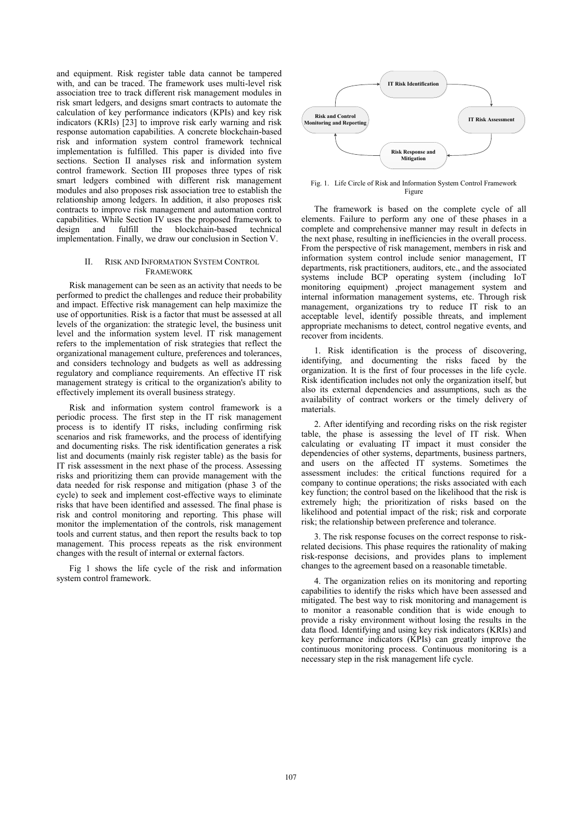and equipment. Risk register table data cannot be tampered with, and can be traced. The framework uses multi-level risk association tree to track different risk management modules in risk smart ledgers, and designs smart contracts to automate the calculation of key performance indicators (KPIs) and key risk indicators (KRIs) [23] to improve risk early warning and risk response automation capabilities. A concrete blockchain-based risk and information system control framework technical implementation is fulfilled. This paper is divided into five sections. Section II analyses risk and information system control framework. Section III proposes three types of risk smart ledgers combined with different risk management modules and also proposes risk association tree to establish the relationship among ledgers. In addition, it also proposes risk contracts to improve risk management and automation control capabilities. While Section IV uses the proposed framework to design and fulfill the blockchain-based technical implementation. Finally, we draw our conclusion in Section V.

#### II. RISK AND INFORMATION SYSTEM CONTROL **FRAMEWORK**

Risk management can be seen as an activity that needs to be performed to predict the challenges and reduce their probability and impact. Effective risk management can help maximize the use of opportunities. Risk is a factor that must be assessed at all levels of the organization: the strategic level, the business unit level and the information system level. IT risk management refers to the implementation of risk strategies that reflect the organizational management culture, preferences and tolerances, and considers technology and budgets as well as addressing regulatory and compliance requirements. An effective IT risk management strategy is critical to the organization's ability to effectively implement its overall business strategy.

Risk and information system control framework is a periodic process. The first step in the IT risk management process is to identify IT risks, including confirming risk scenarios and risk frameworks, and the process of identifying and documenting risks. The risk identification generates a risk list and documents (mainly risk register table) as the basis for IT risk assessment in the next phase of the process. Assessing risks and prioritizing them can provide management with the data needed for risk response and mitigation (phase 3 of the cycle) to seek and implement cost-effective ways to eliminate risks that have been identified and assessed. The final phase is risk and control monitoring and reporting. This phase will monitor the implementation of the controls, risk management tools and current status, and then report the results back to top management. This process repeats as the risk environment changes with the result of internal or external factors.

Fig 1 shows the life cycle of the risk and information system control framework.



Fig. 1. Life Circle of Risk and Information System Control Framework Figure

The framework is based on the complete cycle of all elements. Failure to perform any one of these phases in a complete and comprehensive manner may result in defects in the next phase, resulting in inefficiencies in the overall process. From the perspective of risk management, members in risk and information system control include senior management, IT departments, risk practitioners, auditors, etc., and the associated systems include BCP operating system (including IoT monitoring equipment) ,project management system and internal information management systems, etc. Through risk management, organizations try to reduce IT risk to an acceptable level, identify possible threats, and implement appropriate mechanisms to detect, control negative events, and recover from incidents.

1. Risk identification is the process of discovering, identifying, and documenting the risks faced by the organization. It is the first of four processes in the life cycle. Risk identification includes not only the organization itself, but also its external dependencies and assumptions, such as the availability of contract workers or the timely delivery of materials.

2. After identifying and recording risks on the risk register table, the phase is assessing the level of IT risk. When calculating or evaluating IT impact it must consider the dependencies of other systems, departments, business partners, and users on the affected IT systems. Sometimes the assessment includes: the critical functions required for a company to continue operations; the risks associated with each key function; the control based on the likelihood that the risk is extremely high; the prioritization of risks based on the likelihood and potential impact of the risk; risk and corporate risk; the relationship between preference and tolerance.

3. The risk response focuses on the correct response to riskrelated decisions. This phase requires the rationality of making risk-response decisions, and provides plans to implement changes to the agreement based on a reasonable timetable.

4. The organization relies on its monitoring and reporting capabilities to identify the risks which have been assessed and mitigated. The best way to risk monitoring and management is to monitor a reasonable condition that is wide enough to provide a risky environment without losing the results in the data flood. Identifying and using key risk indicators (KRIs) and key performance indicators (KPIs) can greatly improve the continuous monitoring process. Continuous monitoring is a necessary step in the risk management life cycle.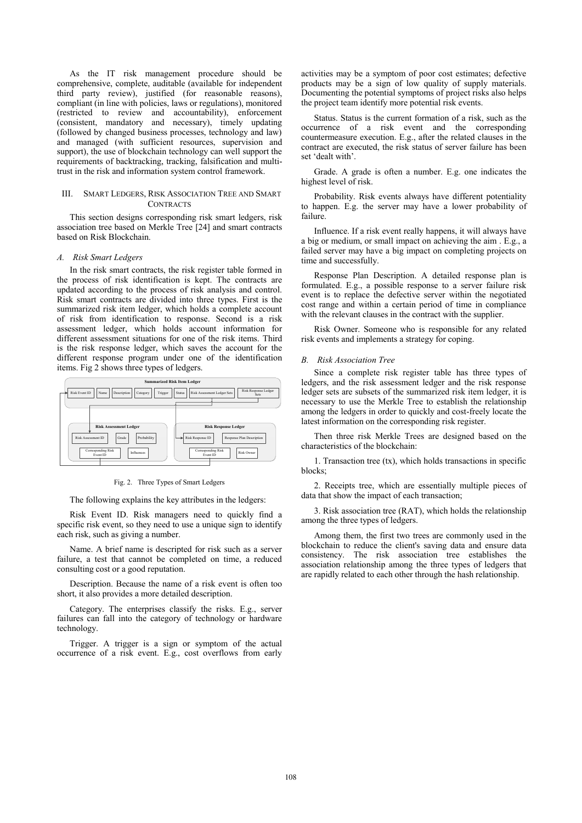As the IT risk management procedure should be comprehensive, complete, auditable (available for independent third party review), justified (for reasonable reasons), compliant (in line with policies, laws or regulations), monitored (restricted to review and accountability), enforcement (consistent, mandatory and necessary), timely updating (followed by changed business processes, technology and law) and managed (with sufficient resources, supervision and support), the use of blockchain technology can well support the requirements of backtracking, tracking, falsification and multitrust in the risk and information system control framework.

#### III. SMART LEDGERS, RISK ASSOCIATION TREE AND SMART CONTRACTS

This section designs corresponding risk smart ledgers, risk association tree based on Merkle Tree [24] and smart contracts based on Risk Blockchain.

#### *A. Risk Smart Ledgers*

In the risk smart contracts, the risk register table formed in the process of risk identification is kept. The contracts are updated according to the process of risk analysis and control. Risk smart contracts are divided into three types. First is the summarized risk item ledger, which holds a complete account of risk from identification to response. Second is a risk assessment ledger, which holds account information for different assessment situations for one of the risk items. Third is the risk response ledger, which saves the account for the different response program under one of the identification items. Fig 2 shows three types of ledgers.



Fig. 2. Three Types of Smart Ledgers

The following explains the key attributes in the ledgers:

Risk Event ID. Risk managers need to quickly find a specific risk event, so they need to use a unique sign to identify each risk, such as giving a number.

Name. A brief name is descripted for risk such as a server failure, a test that cannot be completed on time, a reduced consulting cost or a good reputation.

Description. Because the name of a risk event is often too short, it also provides a more detailed description.

Category. The enterprises classify the risks. E.g., server failures can fall into the category of technology or hardware technology.

Trigger. A trigger is a sign or symptom of the actual occurrence of a risk event. E.g., cost overflows from early

activities may be a symptom of poor cost estimates; defective products may be a sign of low quality of supply materials. Documenting the potential symptoms of project risks also helps the project team identify more potential risk events.

Status. Status is the current formation of a risk, such as the occurrence of a risk event and the corresponding countermeasure execution. E.g., after the related clauses in the contract are executed, the risk status of server failure has been set 'dealt with'.

Grade. A grade is often a number. E.g. one indicates the highest level of risk.

Probability. Risk events always have different potentiality to happen. E.g. the server may have a lower probability of failure.

Influence. If a risk event really happens, it will always have a big or medium, or small impact on achieving the aim . E.g., a failed server may have a big impact on completing projects on time and successfully.

Response Plan Description. A detailed response plan is formulated. E.g., a possible response to a server failure risk event is to replace the defective server within the negotiated cost range and within a certain period of time in compliance with the relevant clauses in the contract with the supplier.

Risk Owner. Someone who is responsible for any related risk events and implements a strategy for coping.

## *B. Risk Association Tree*

Since a complete risk register table has three types of ledgers, and the risk assessment ledger and the risk response ledger sets are subsets of the summarized risk item ledger, it is necessary to use the Merkle Tree to establish the relationship among the ledgers in order to quickly and cost-freely locate the latest information on the corresponding risk register.

Then three risk Merkle Trees are designed based on the characteristics of the blockchain:

1. Transaction tree (tx), which holds transactions in specific blocks;

2. Receipts tree, which are essentially multiple pieces of data that show the impact of each transaction;

3. Risk association tree (RAT), which holds the relationship among the three types of ledgers.

Among them, the first two trees are commonly used in the blockchain to reduce the client's saving data and ensure data consistency. The risk association tree establishes the association relationship among the three types of ledgers that are rapidly related to each other through the hash relationship.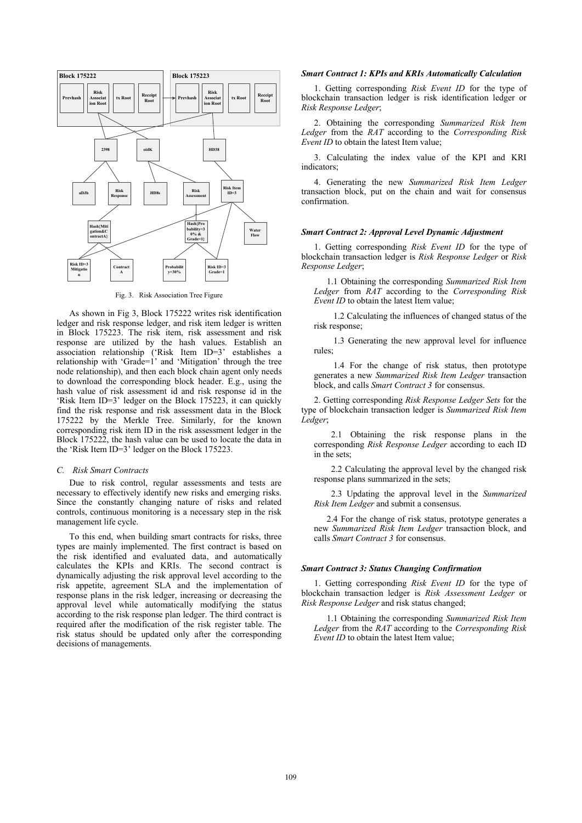

Fig. 3. Risk Association Tree Figure

As shown in Fig 3, Block 175222 writes risk identification ledger and risk response ledger, and risk item ledger is written in Block 175223. The risk item, risk assessment and risk response are utilized by the hash values. Establish an association relationship ('Risk Item ID=3' establishes a relationship with 'Grade=1' and 'Mitigation' through the tree node relationship), and then each block chain agent only needs to download the corresponding block header. E.g., using the hash value of risk assessment id and risk response id in the 'Risk Item ID=3' ledger on the Block 175223, it can quickly find the risk response and risk assessment data in the Block 175222 by the Merkle Tree. Similarly, for the known corresponding risk item ID in the risk assessment ledger in the Block 175222, the hash value can be used to locate the data in the 'Risk Item ID=3' ledger on the Block 175223.

## *C. Risk Smart Contracts*

Due to risk control, regular assessments and tests are necessary to effectively identify new risks and emerging risks. Since the constantly changing nature of risks and related controls, continuous monitoring is a necessary step in the risk management life cycle.

To this end, when building smart contracts for risks, three types are mainly implemented. The first contract is based on the risk identified and evaluated data, and automatically calculates the KPIs and KRIs. The second contract is dynamically adjusting the risk approval level according to the risk appetite, agreement SLA and the implementation of response plans in the risk ledger, increasing or decreasing the approval level while automatically modifying the status according to the risk response plan ledger. The third contract is required after the modification of the risk register table. The risk status should be updated only after the corresponding decisions of managements.

#### *Smart Contract 1: KPIs and KRIs Automatically Calculation*

1. Getting corresponding *Risk Event ID* for the type of blockchain transaction ledger is risk identification ledger or *Risk Response Ledger*;

2. Obtaining the corresponding *Summarized Risk Item Ledger* from the *RAT* according to the *Corresponding Risk Event ID* to obtain the latest Item value;

3. Calculating the index value of the KPI and KRI indicators;

4. Generating the new *Summarized Risk Item Ledger* transaction block, put on the chain and wait for consensus confirmation.

#### *Smart Contract 2: Approval Level Dynamic Adjustment*

1. Getting corresponding *Risk Event ID* for the type of blockchain transaction ledger is *Risk Response Ledger* or *Risk Response Ledger*;

1.1 Obtaining the corresponding *Summarized Risk Item Ledger* from *RAT* according to the *Corresponding Risk Event ID* to obtain the latest Item value;

 1.2 Calculating the influences of changed status of the risk response;

 1.3 Generating the new approval level for influence rules;

 1.4 For the change of risk status, then prototype generates a new *Summarized Risk Item Ledger* transaction block, and calls *Smart Contract 3* for consensus.

2. Getting corresponding *Risk Response Ledger Sets* for the type of blockchain transaction ledger is *Summarized Risk Item Ledger*;

2.1 Obtaining the risk response plans in the corresponding *Risk Response Ledger* according to each ID in the sets;

2.2 Calculating the approval level by the changed risk response plans summarized in the sets;

2.3 Updating the approval level in the *Summarized Risk Item Ledger* and submit a consensus.

2.4 For the change of risk status, prototype generates a new *Summarized Risk Item Ledger* transaction block, and calls *Smart Contract 3* for consensus.

## *Smart Contract 3: Status Changing Confirmation*

1. Getting corresponding *Risk Event ID* for the type of blockchain transaction ledger is *Risk Assessment Ledger* or *Risk Response Ledger* and risk status changed;

1.1 Obtaining the corresponding *Summarized Risk Item Ledger* from the *RAT* according to the *Corresponding Risk Event ID* to obtain the latest Item value: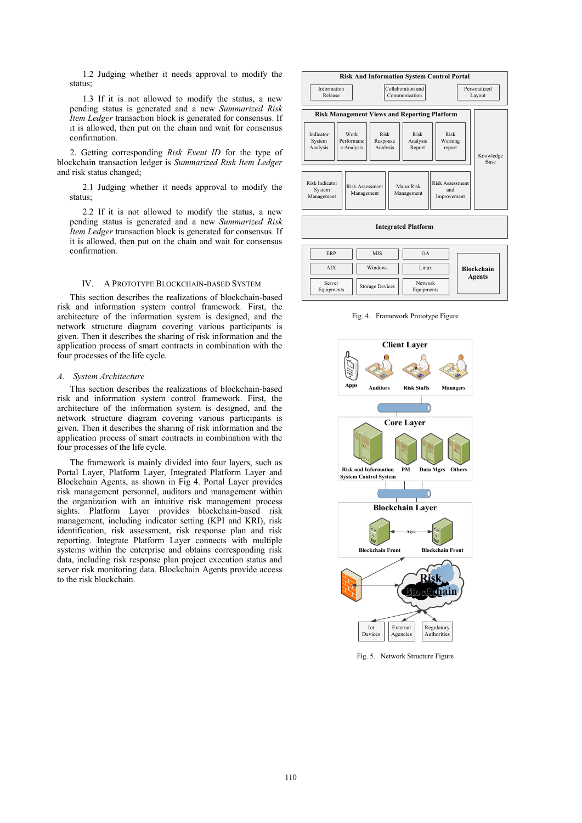1.2 Judging whether it needs approval to modify the status;

1.3 If it is not allowed to modify the status, a new pending status is generated and a new *Summarized Risk Item Ledger* transaction block is generated for consensus. If it is allowed, then put on the chain and wait for consensus confirmation.

2. Getting corresponding *Risk Event ID* for the type of blockchain transaction ledger is *Summarized Risk Item Ledger*  and risk status changed;

2.1 Judging whether it needs approval to modify the status;

2.2 If it is not allowed to modify the status, a new pending status is generated and a new *Summarized Risk Item Ledger* transaction block is generated for consensus. If it is allowed, then put on the chain and wait for consensus confirmation.

## IV. A PROTOTYPE BLOCKCHAIN-BASED SYSTEM

This section describes the realizations of blockchain-based risk and information system control framework. First, the architecture of the information system is designed, and the network structure diagram covering various participants is given. Then it describes the sharing of risk information and the application process of smart contracts in combination with the four processes of the life cycle.

#### *A. System Architecture*

This section describes the realizations of blockchain-based risk and information system control framework. First, the architecture of the information system is designed, and the network structure diagram covering various participants is given. Then it describes the sharing of risk information and the application process of smart contracts in combination with the four processes of the life cycle.

The framework is mainly divided into four layers, such as Portal Layer, Platform Layer, Integrated Platform Layer and Blockchain Agents, as shown in Fig 4. Portal Layer provides risk management personnel, auditors and management within the organization with an intuitive risk management process sights. Platform Layer provides blockchain-based risk management, including indicator setting (KPI and KRI), risk identification, risk assessment, risk response plan and risk reporting. Integrate Platform Layer connects with multiple systems within the enterprise and obtains corresponding risk data, including risk response plan project execution status and server risk monitoring data. Blockchain Agents provide access to the risk blockchain.



| ERP                  | <b>MIS</b>             | <b>OA</b>             |                   |
|----------------------|------------------------|-----------------------|-------------------|
| AIX                  | Windows                | Linux                 | <b>Blockchain</b> |
| Server<br>Equipments | <b>Storage Devices</b> | Network<br>Equipments | <b>Agents</b>     |

Fig. 4. Framework Prototype Figure



Fig. 5. Network Structure Figure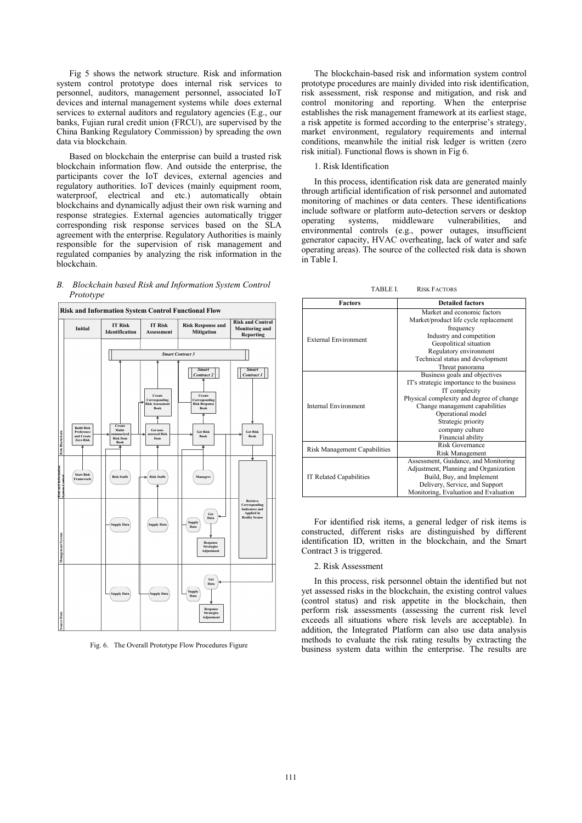Fig 5 shows the network structure. Risk and information system control prototype does internal risk services to personnel, auditors, management personnel, associated IoT devices and internal management systems while does external services to external auditors and regulatory agencies (E.g., our banks, Fujian rural credit union (FRCU), are supervised by the China Banking Regulatory Commission) by spreading the own data via blockchain.

Based on blockchain the enterprise can build a trusted risk blockchain information flow. And outside the enterprise, the participants cover the IoT devices, external agencies and regulatory authorities. IoT devices (mainly equipment room, waterproof, electrical and etc.) automatically obtain blockchains and dynamically adjust their own risk warning and response strategies. External agencies automatically trigger corresponding risk response services based on the SLA **Example 12 EVALUATE:** THE TERRIT ALL AND ALL AUTHORITIES IS MAINLY AUTHORITIES IS MAINLY AND REPORTED THE REGISTER THAT AND REFORM OF THE REGISTER OF THE REGISTER OF THE REGISTER OF THE REGISTER OF THE REGISTER OF THE R responsible for the supervision of risk management and regulated companies by analyzing the risk information in the blockchain.

## *B. Blockchain based Risk and Information System Control Prototype*



Fig. 6. The Overall Prototype Flow Procedures Figure

The blockchain-based risk and information system control prototype procedures are mainly divided into risk identification, risk assessment, risk response and mitigation, and risk and control monitoring and reporting. When the enterprise establishes the risk management framework at its earliest stage, a risk appetite is formed according to the enterprise's strategy, market environment, regulatory requirements and internal conditions, meanwhile the initial risk ledger is written (zero risk initial). Functional flows is shown in Fig 6.

#### 1. Risk Identification

In this process, identification risk data are generated mainly through artificial identification of risk personnel and automated monitoring of machines or data centers. These identifications include software or platform auto-detection servers or desktop operating systems. middleware vulnerabilities, and operating systems, middleware vulnerabilities, and environmental controls (e.g., power outages, insufficient generator capacity, HVAC overheating, lack of water and safe operating areas). The source of the collected risk data is shown in Table I.

| <b>TABLE L</b> | <b>RISK FACTORS</b> |
|----------------|---------------------|

| <b>Factors</b>                      | <b>Detailed factors</b>                   |  |
|-------------------------------------|-------------------------------------------|--|
|                                     | Market and economic factors               |  |
|                                     | Market/product life cycle replacement     |  |
|                                     | frequency                                 |  |
| <b>External Environment</b>         | Industry and competition                  |  |
|                                     | Geopolitical situation                    |  |
|                                     | Regulatory environment                    |  |
|                                     | Technical status and development          |  |
|                                     | Threat panorama                           |  |
|                                     | Business goals and objectives             |  |
|                                     | IT's strategic importance to the business |  |
|                                     | IT complexity                             |  |
|                                     | Physical complexity and degree of change  |  |
| Internal Environment                | Change management capabilities            |  |
|                                     | Operational model                         |  |
|                                     | Strategic priority                        |  |
|                                     | company culture                           |  |
|                                     | Financial ability                         |  |
| <b>Risk Management Capabilities</b> | Risk Governance                           |  |
|                                     | Risk Management                           |  |
|                                     | Assessment, Guidance, and Monitoring      |  |
|                                     | Adjustment, Planning and Organization     |  |
| IT Related Capabilities             | Build, Buy, and Implement                 |  |
|                                     | Delivery, Service, and Support            |  |
|                                     | Monitoring, Evaluation and Evaluation     |  |

For identified risk items, a general ledger of risk items is constructed, different risks are distinguished by different identification ID, written in the blockchain, and the Smart Contract 3 is triggered.

## 2. Risk Assessment

In this process, risk personnel obtain the identified but not yet assessed risks in the blockchain, the existing control values (control status) and risk appetite in the blockchain, then perform risk assessments (assessing the current risk level exceeds all situations where risk levels are acceptable). In addition, the Integrated Platform can also use data analysis methods to evaluate the risk rating results by extracting the business system data within the enterprise. The results are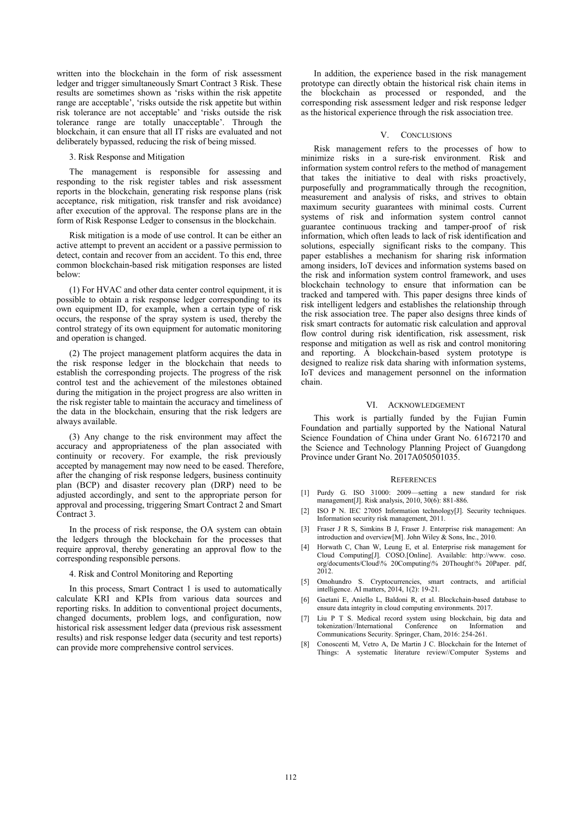written into the blockchain in the form of risk assessment ledger and trigger simultaneously Smart Contract 3 Risk. These results are sometimes shown as 'risks within the risk appetite range are acceptable', 'risks outside the risk appetite but within risk tolerance are not acceptable' and 'risks outside the risk tolerance range are totally unacceptable'. Through the blockchain, it can ensure that all IT risks are evaluated and not deliberately bypassed, reducing the risk of being missed.

## 3. Risk Response and Mitigation

The management is responsible for assessing and responding to the risk register tables and risk assessment reports in the blockchain, generating risk response plans (risk acceptance, risk mitigation, risk transfer and risk avoidance) after execution of the approval. The response plans are in the form of Risk Response Ledger to consensus in the blockchain.

Risk mitigation is a mode of use control. It can be either an active attempt to prevent an accident or a passive permission to detect, contain and recover from an accident. To this end, three common blockchain-based risk mitigation responses are listed below:

(1) For HVAC and other data center control equipment, it is possible to obtain a risk response ledger corresponding to its own equipment ID, for example, when a certain type of risk occurs, the response of the spray system is used, thereby the control strategy of its own equipment for automatic monitoring and operation is changed.

(2) The project management platform acquires the data in the risk response ledger in the blockchain that needs to establish the corresponding projects. The progress of the risk control test and the achievement of the milestones obtained during the mitigation in the project progress are also written in the risk register table to maintain the accuracy and timeliness of the data in the blockchain, ensuring that the risk ledgers are always available.

(3) Any change to the risk environment may affect the accuracy and appropriateness of the plan associated with continuity or recovery. For example, the risk previously accepted by management may now need to be eased. Therefore, after the changing of risk response ledgers, business continuity plan (BCP) and disaster recovery plan (DRP) need to be adjusted accordingly, and sent to the appropriate person for approval and processing, triggering Smart Contract 2 and Smart Contract 3.

In the process of risk response, the OA system can obtain the ledgers through the blockchain for the processes that require approval, thereby generating an approval flow to the corresponding responsible persons.

## 4. Risk and Control Monitoring and Reporting

In this process, Smart Contract 1 is used to automatically calculate KRI and KPIs from various data sources and reporting risks. In addition to conventional project documents, changed documents, problem logs, and configuration, now historical risk assessment ledger data (previous risk assessment results) and risk response ledger data (security and test reports) can provide more comprehensive control services.

In addition, the experience based in the risk management prototype can directly obtain the historical risk chain items in the blockchain as processed or responded, and the corresponding risk assessment ledger and risk response ledger as the historical experience through the risk association tree.

## V. CONCLUSIONS

Risk management refers to the processes of how to minimize risks in a sure-risk environment. Risk and information system control refers to the method of management that takes the initiative to deal with risks proactively, purposefully and programmatically through the recognition, measurement and analysis of risks, and strives to obtain maximum security guarantees with minimal costs. Current systems of risk and information system control cannot guarantee continuous tracking and tamper-proof of risk information, which often leads to lack of risk identification and solutions, especially significant risks to the company. This paper establishes a mechanism for sharing risk information among insiders, IoT devices and information systems based on the risk and information system control framework, and uses blockchain technology to ensure that information can be tracked and tampered with. This paper designs three kinds of risk intelligent ledgers and establishes the relationship through the risk association tree. The paper also designs three kinds of risk smart contracts for automatic risk calculation and approval flow control during risk identification, risk assessment, risk response and mitigation as well as risk and control monitoring and reporting. A blockchain-based system prototype is designed to realize risk data sharing with information systems, IoT devices and management personnel on the information chain.

#### VI. ACKNOWLEDGEMENT

This work is partially funded by the Fujian Fumin Foundation and partially supported by the National Natural Science Foundation of China under Grant No. 61672170 and the Science and Technology Planning Project of Guangdong Province under Grant No. 2017A050501035.

#### **REFERENCES**

- [1] Purdy G. ISO 31000: 2009—setting a new standard for risk management[J]. Risk analysis, 2010, 30(6): 881-886.
- [2] ISO P N. IEC 27005 Information technology[J]. Security techniques. Information security risk management, 2011.
- [3] Fraser J R S, Simkins B J, Fraser J. Enterprise risk management: An introduction and overview[M]. John Wiley  $\&$  Sons, Inc., 2010.
- [4] Horwath C, Chan W, Leung E, et al. Enterprise risk management for Cloud Computing[J]. COSO.[Online]. Available: http://www. coso. org/documents/Cloud\% 20Computing\% 20Thought\% 20Paper. pdf, 2012.
- [5] Omohundro S. Cryptocurrencies, smart contracts, and artificial intelligence. AI matters, 2014, 1(2): 19-21.
- [6] Gaetani E, Aniello L, Baldoni R, et al. Blockchain-based database to ensure data integrity in cloud computing environments. 2017.
- [7] Liu P T S. Medical record system using blockchain, big data and tokenization//International Conference on Information and Communications Security. Springer, Cham, 2016: 254-261.
- [8] Conoscenti M, Vetro A, De Martin J C. Blockchain for the Internet of Things: A systematic literature review//Computer Systems and